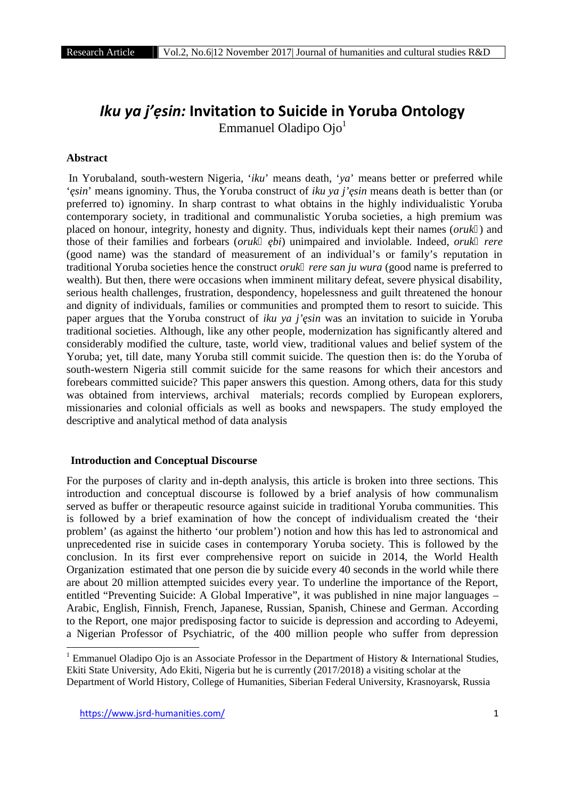# *Iku ya j'ẹsin:* **Invitation to Suicide in Yoruba Ontology**

Emmanuel Oladipo Ojo<sup>1</sup>

### **Abstract**

In Yorubaland, south-western Nigeria, '*iku*' means death, '*ya*' means better or preferred while ' *sin*' means ignominy. Thus, the Yoruba construct of *iku ya j' sin* means death is better than (or preferred to) ignominy. In sharp contrast to what obtains in the highly individualistic Yoruba contemporary society, in traditional and communalistic Yoruba societies, a high premium was placed on honour, integrity, honesty and dignity. Thus, individuals kept their names (*oruk* ) and those of their families and forbears (*oruk bi*) unimpaired and inviolable. Indeed, *oruk rere* (good name) was the standard of measurement of an individual's or family's reputation in traditional Yoruba societies hence the construct *oruk rere san ju wura* (good name is preferred to wealth). But then, there were occasions when imminent military defeat, severe physical disability, serious health challenges, frustration, despondency, hopelessness and guilt threatened the honour and dignity of individuals, families or communities and prompted them to resort to suicide. This paper argues that the Yoruba construct of *iku ya j' sin* was an invitation to suicide in Yoruba traditional societies. Although, like any other people, modernization has significantly altered and considerably modified the culture, taste, world view, traditional values and belief system of the Yoruba; yet, till date, many Yoruba still commit suicide. The question then is: do the Yoruba of south-western Nigeria still commit suicide for the same reasons for which their ancestors and forebears committed suicide? This paper answers this question. Among others, data for this study was obtained from interviews, archival materials; records complied by European explorers, missionaries and colonial officials as well as books and newspapers. The study employed the descriptive and analytical method of data analysis

## **Introduction and Conceptual Discourse**

For the purposes of clarity and in-depth analysis, this article is broken into three sections. This introduction and conceptual discourse is followed by a brief analysis of how communalism served as buffer or therapeutic resource against suicide in traditional Yoruba communities. This is followed by a brief examination of how the concept of individualism created the 'their problem' (as against the hitherto 'our problem') notion and how this has led to astronomical and unprecedented rise in suicide cases in contemporary Yoruba society. This is followed by the conclusion. In its first ever comprehensive report on suicide in 2014, the World Health Organization estimated that one person die by suicide every 40 seconds in the world while there are about 20 million attempted suicides every year. To underline the importance of the Report, entitled "Preventing Suicide: A Global Imperative", it was published in nine major languages – Arabic, English, Finnish, French, Japanese, Russian, Spanish, Chinese and German. According to the Report, one major predisposing factor to suicide is depression and according to Adeyemi, a Nigerian Professor of Psychiatric, of the 400 million people who suffer from depression

<sup>&</sup>lt;sup>1</sup> Emmanuel Oladipo Ojo is an Associate Professor in the Department of History  $\&$  International Studies, Ekiti State University, Ado Ekiti, Nigeria but he is currently (2017/2018) a visiting scholar at the Department of World History, College of Humanities, Siberian Federal University, Krasnoyarsk, Russia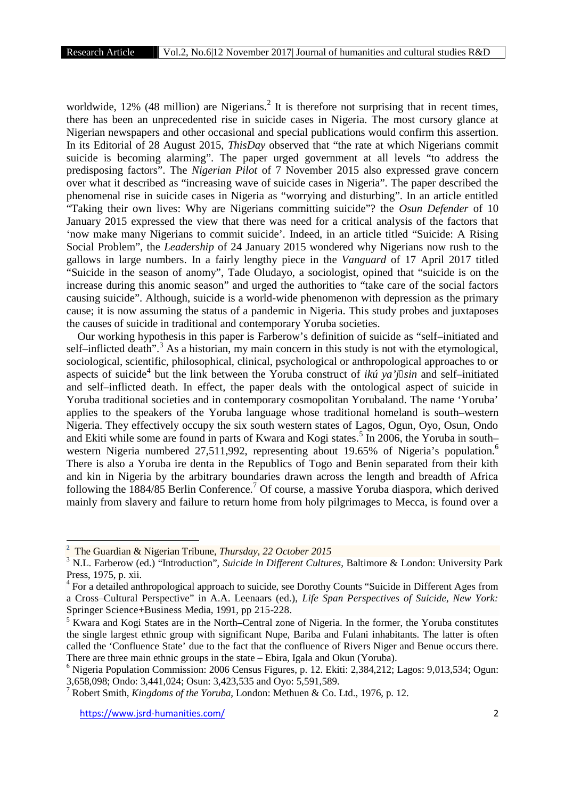worldwide,  $12\%$  (48 million) are Nigerians.<sup>2</sup> It is therefore not surprising that in recent times, there has been an unprecedented rise in suicide cases in Nigeria. The most cursory glance at Nigerian newspapers and other occasional and special publications would confirm this assertion. In its Editorial of 28 August 2015, *ThisDay* observed that "the rate at which Nigerians commit suicide is becoming alarming". The paper urged government at all levels "to address the predisposing factors". The *Nigerian Pilot* of 7 November 2015 also expressed grave concern over what it described as "increasing wave of suicide cases in Nigeria". The paper described the phenomenal rise in suicide cases in Nigeria as "worrying and disturbing". In an article entitled "Taking their own lives: Why are Nigerians committing suicide"? the *Osun Defender* of 10 January 2015 expressed the view that there was need for a critical analysis of the factors that 'now make many Nigerians to commit suicide'. Indeed, in an article titled "Suicide: A Rising Social Problem", the *Leadership* of 24 January 2015 wondered why Nigerians now rush to the gallows in large numbers. In a fairly lengthy piece in the *Vanguard* of 17 April 2017 titled "Suicide in the season of anomy", Tade Oludayo, a sociologist, opined that "suicide is on the increase during this anomic season" and urged the authorities to "take care of the social factors causing suicide". Although, suicide is a world-wide phenomenon with depression as the primary cause; it is now assuming the status of a pandemic in Nigeria. This study probes and juxtaposes the causes of suicide in traditional and contemporary Yoruba societies.

Our working hypothesis in this paper is Farberow's definition of suicide as "self–initiated and self-inflicted death".<sup>3</sup> As a historian, my main concern in this study is not with the etymological, sociological, scientific, philosophical, clinical, psychological or anthropological approaches to or aspects of suicide<sup>4</sup> but the link between the Yoruba construct of *ikú ya'j sin* and self-initiated and self–inflicted death. In effect, the paper deals with the ontological aspect of suicide in Yoruba traditional societies and in contemporary cosmopolitan Yorubaland. The name 'Yoruba' applies to the speakers of the Yoruba language whose traditional homeland is south–western Nigeria. They effectively occupy the six south western states of Lagos, Ogun, Oyo, Osun, Ondo and Ekiti while some are found in parts of Kwara and Kogi states.<sup>5</sup> In 2006, the Yoruba in south– western Nigeria numbered 27,511,992, representing about 19.65% of Nigeria's population.<sup>6</sup> There is also a Yoruba ire denta in the Republics of Togo and Benin separated from their kith and kin in Nigeria by the arbitrary boundaries drawn across the length and breadth of Africa following the 1884/85 Berlin Conference.<sup>7</sup> Of course, a massive Yoruba diaspora, which derived mainly from slavery and failure to return home from holy pilgrimages to Mecca, is found over a

**<sup>2</sup>** The Guardian & Nigerian Tribune, *Thursday, 22 October 2015*

<sup>&</sup>lt;sup>3</sup> N.L. Farberow (ed.) "Introduction", *Suicide in Different Cultures*, Baltimore & London: University Park Press, 1975, p. xii.

<sup>&</sup>lt;sup>4</sup> For a detailed anthropological approach to suicide, see Dorothy Counts "Suicide in Different Ages from a Cross–Cultural Perspective" in A.A. Leenaars (ed.), *Life Span Perspectives of Suicide, New York:* Springer Science+Business Media, 1991, pp 215-228.

<sup>5</sup> Kwara and Kogi States are in the North–Central zone of Nigeria. In the former, the Yoruba constitutes the single largest ethnic group with significant Nupe, Bariba and Fulani inhabitants. The latter is often called the 'Confluence State' due to the fact that the confluence of Rivers Niger and Benue occurs there. There are three main ethnic groups in the state – Ebira, Igala and Okun (Yoruba).

<sup>6</sup> Nigeria Population Commission: 2006 Census Figures, p. 12. Ekiti: 2,384,212; Lagos: 9,013,534; Ogun: 3,658,098; Ondo: 3,441,024; Osun: 3,423,535 and Oyo: 5,591,589.

<sup>7</sup> Robert Smith, *Kingdoms of the Yoruba*, London: Methuen & Co. Ltd., 1976, p. 12.

https://www.jsrd-humanities.com/ 2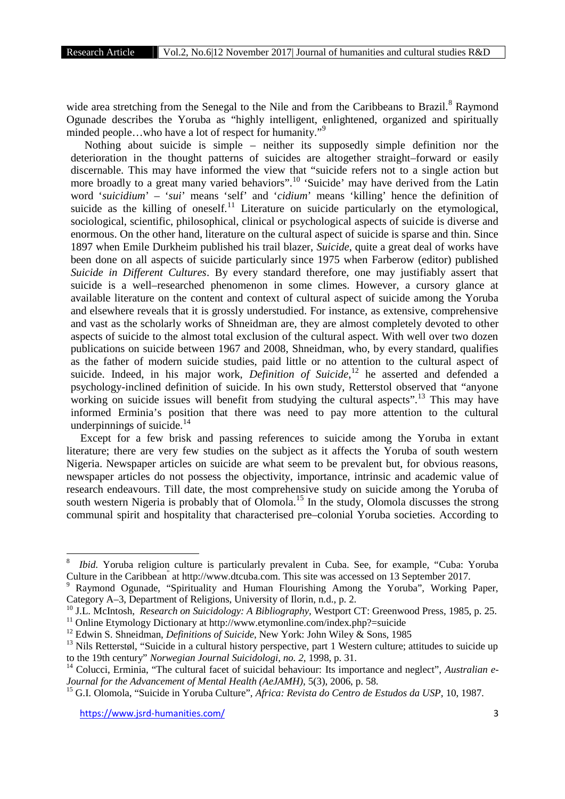wide area stretching from the Senegal to the Nile and from the Caribbeans to Brazil.<sup>8</sup> Raymond Ogunade describes the Yoruba as "highly intelligent, enlightened, organized and spiritually minded people...who have a lot of respect for humanity."<sup>9</sup>

Nothing about suicide is simple – neither its supposedly simple definition nor the deterioration in the thought patterns of suicides are altogether straight–forward or easily discernable. This may have informed the view that "suicide refers not to a single action but more broadly to a great many varied behaviors".<sup>10</sup> 'Suicide' may have derived from the Latin word '*suicidium*' – '*sui*' means 'self' and '*cidium*' means 'killing' hence the definition of suicide as the killing of oneself.<sup>11</sup> Literature on suicide particularly on the etymological, sociological, scientific, philosophical, clinical or psychological aspects of suicide is diverse and enormous. On the other hand, literature on the cultural aspect of suicide is sparse and thin. Since 1897 when Emile Durkheim published his trail blazer, *Suicide*, quite a great deal of works have been done on all aspects of suicide particularly since 1975 when Farberow (editor) published *Suicide in Different Cultures*. By every standard therefore, one may justifiably assert that suicide is a well–researched phenomenon in some climes. However, a cursory glance at available literature on the content and context of cultural aspect of suicide among the Yoruba and elsewhere reveals that it is grossly understudied. For instance, as extensive, comprehensive and vast as the scholarly works of Shneidman are, they are almost completely devoted to other aspects of suicide to the almost total exclusion of the cultural aspect. With well over two dozen publications on suicide between 1967 and 2008, Shneidman, who, by every standard, qualifies as the father of modern suicide studies, paid little or no attention to the cultural aspect of suicide. Indeed, in his major work, *Definition of Suicide*,<sup>12</sup> he asserted and defended a psychology-inclined definition of suicide. In his own study, Retterstol observed that "anyone working on suicide issues will benefit from studying the cultural aspects".<sup>13</sup> This may have informed Erminia's position that there was need to pay more attention to the cultural underpinnings of suicide. $^{14}$ 

Except for a few brisk and passing references to suicide among the Yoruba in extant literature; there are very few studies on the subject as it affects the Yoruba of south western Nigeria. Newspaper articles on suicide are what seem to be prevalent but, for obvious reasons, newspaper articles do not possess the objectivity, importance, intrinsic and academic value of research endeavours. Till date, the most comprehensive study on suicide among the Yoruba of south western Nigeria is probably that of Olomola.<sup>15</sup> In the study, Olomola discusses the strong communal spirit and hospitality that characterised pre–colonial Yoruba societies. According to

*Ibid.* Yoruba religion culture is particularly prevalent in Cuba. See, for example, "Cuba: Yoruba" Culture in the Caribbean" at http://www.dtcuba.com. This site was accessed on 13 September 2017.

<sup>9</sup> Raymond Ogunade, "Spirituality and Human Flourishing Among the Yoruba", Working Paper, Category A–3, Department of Religions, University of Ilorin, n.d., p. 2.

<sup>&</sup>lt;sup>10</sup> J.L. McIntosh, *Research on Suicidology: A Bibliography*, Westport CT: Greenwood Press, 1985, p. 25.

<sup>&</sup>lt;sup>11</sup> Online Etymology Dictionary at http://www.etymonline.com/index.php?=suicide

<sup>&</sup>lt;sup>12</sup> Edwin S. Shneidman, *Definitions of Suicide*, New York: John Wiley & Sons, 1985

 $13$  Nils Retterstøl, "Suicide in a cultural history perspective, part 1 Western culture; attitudes to suicide up to the 19th century" *Norwegian Journal Suicidologi, no. 2*, 1998, p. 31.

<sup>14</sup> Colucci, Erminia, "The cultural facet of suicidal behaviour: Its importance and neglect", *Australian e- Journal for the Advancement of Mental Health (AeJAMH),* 5(3), 2006, p. 58.

<sup>15</sup> G.I. Olomola, "Suicide in Yoruba Culture", *Africa: Revista do Centro de Estudos da USP*, 10, 1987.

https://www.jsrd-humanities.com/ 3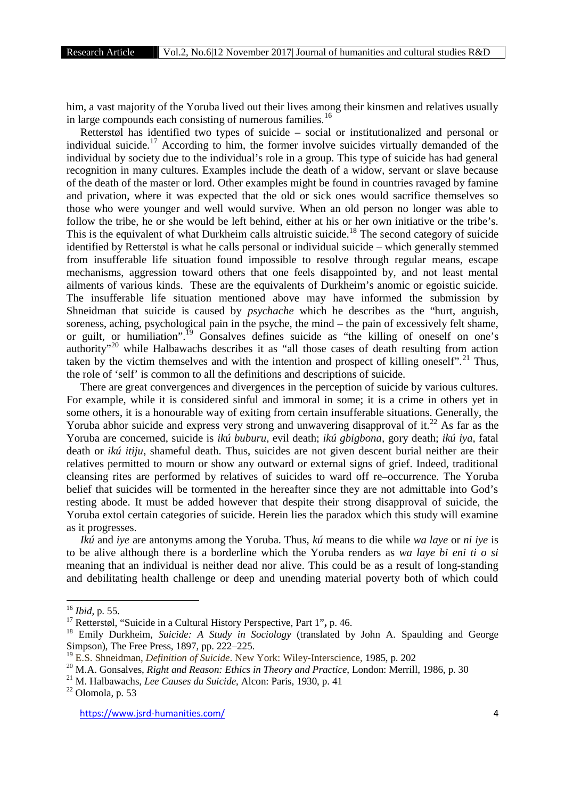him, a vast majority of the Yoruba lived out their lives among their kinsmen and relatives usually in large compounds each consisting of numerous families.<sup>16</sup>

Retterstøl has identified two types of suicide – social or institutionalized and personal or individual suicide.<sup>17</sup> According to him, the former involve suicides virtually demanded of the individual by society due to the individual's role in a group. This type of suicide has had general recognition in many cultures. Examples include the death of a widow, servant or slave because of the death of the master or lord. Other examples might be found in countries ravaged by famine and privation, where it was expected that the old or sick ones would sacrifice themselves so those who were younger and well would survive. When an old person no longer was able to follow the tribe, he or she would be left behind, either at his or her own initiative or the tribe's. This is the equivalent of what Durkheim calls altruistic suicide.<sup>18</sup> The second category of suicide identified by Retterstøl is what he calls personal or individual suicide – which generally stemmed from insufferable life situation found impossible to resolve through regular means, escape mechanisms, aggression toward others that one feels disappointed by, and not least mental ailments of various kinds. These are the equivalents of Durkheim's anomic or egoistic suicide. The insufferable life situation mentioned above may have informed the submission by Shneidman that suicide is caused by *psychache* which he describes as the "hurt, anguish, soreness, aching, psychological pain in the psyche, the mind – the pain of excessively felt shame, or guilt, or humiliation".<sup>19</sup> Gonsalves defines suicide as "the killing of oneself on one's authority"<sup>20</sup> while Halbawachs describes it as "all those cases of death resulting from action taken by the victim themselves and with the intention and prospect of killing oneself".<sup>21</sup> Thus, the role of 'self' is common to all the definitions and descriptions of suicide.

There are great convergences and divergences in the perception of suicide by various cultures. For example, while it is considered sinful and immoral in some; it is a crime in others yet in some others, it is a honourable way of exiting from certain insufferable situations. Generally, the Yoruba abhor suicide and express very strong and unwavering disapproval of it.<sup>22</sup> As far as the Yoruba are concerned, suicide is *ikú buburu*, evil death; *ikú gbigbona,* gory death; *ikú iya,* fatal death or *ikú itiju*, shameful death. Thus, suicides are not given descent burial neither are their relatives permitted to mourn or show any outward or external signs of grief. Indeed, traditional cleansing rites are performed by relatives of suicides to ward off re–occurrence. The Yoruba belief that suicides will be tormented in the hereafter since they are not admittable into God's resting abode. It must be added however that despite their strong disapproval of suicide, the Yoruba extol certain categories of suicide. Herein lies the paradox which this study will examine as it progresses.

*Ikú* and *iye* are antonyms among the Yoruba. Thus, *kú* means to die while *wa laye* or *ni iye* is to be alive although there is a borderline which the Yoruba renders as *wa laye bi eni ti o si* meaning that an individual is neither dead nor alive. This could be as a result of long-standing and debilitating health challenge or deep and unending material poverty both of which could

<sup>16</sup> *Ibid*, p. 55.

<sup>17</sup> Retterstøl, "Suicide in a Cultural History Perspective, Part 1"**,** p. 46.

<sup>&</sup>lt;sup>18</sup> Emily Durkheim, *Suicide: A Study in Sociology* (translated by John A. Spaulding and George Simpson), The Free Press, 1897, pp. 222–225.

<sup>19</sup> E.S. Shneidman, *Definition of Suicide*. New York: Wiley-Interscience, 1985, p. 202

<sup>&</sup>lt;sup>20</sup> M.A. Gonsalves, *Right and Reason: Ethics in Theory and Practice*, London: Merrill, 1986, p. 30

<sup>21</sup> M. Halbawachs, *Lee Causes du Suicide*, Alcon: Paris, 1930, p. 41

<sup>22</sup> Olomola, p. 53

https://www.jsrd-humanities.com/ 4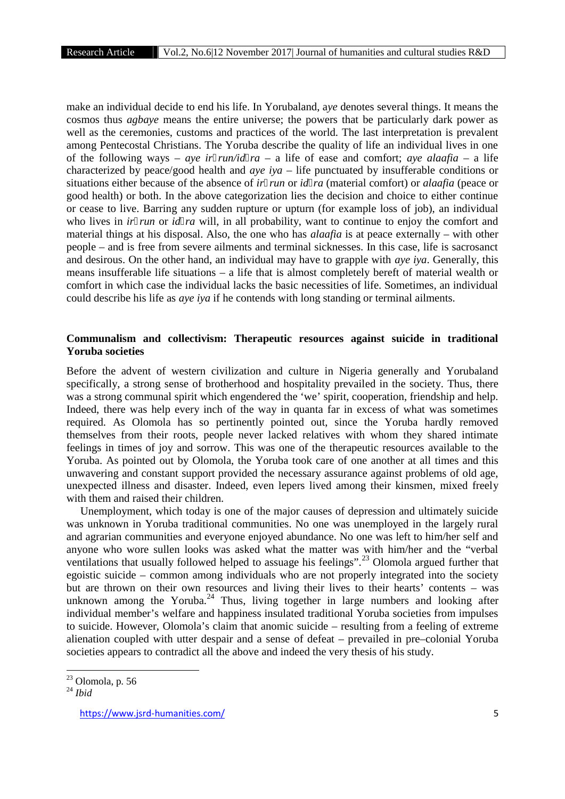make an individual decide to end his life. In Yorubaland, a*ye* denotes several things. It means the cosmos thus *agbaye* means the entire universe; the powers that be particularly dark power as well as the ceremonies, customs and practices of the world. The last interpretation is prevalent among Pentecostal Christians. The Yoruba describe the quality of life an individual lives in one of the following ways – *aye ir run/id ra* – a life of ease and comfort; *aye alaafia* – a life characterized by peace/good health and *aye iya* – life punctuated by insufferable conditions or situations either because of the absence of *ir run* or *id ra* (material comfort) or *alaafia* (peace or good health) or both. In the above categorization lies the decision and choice to either continue or cease to live. Barring any sudden rupture or upturn (for example loss of job), an individual who lives in *ir run* or *id ra* will, in all probability, want to continue to enjoy the comfort and material things at his disposal. Also, the one who has *alaafia* is at peace externally – with other people – and is free from severe ailments and terminal sicknesses. In this case, life is sacrosanct and desirous. On the other hand, an individual may have to grapple with *aye iya*. Generally, this means insufferable life situations – a life that is almost completely bereft of material wealth or comfort in which case the individual lacks the basic necessities of life. Sometimes, an individual could describe his life as *aye iya* if he contends with long standing or terminal ailments.

## **Communalism and collectivism: Therapeutic resources against suicide in traditional Yoruba societies**

Before the advent of western civilization and culture in Nigeria generally and Yorubaland specifically, a strong sense of brotherhood and hospitality prevailed in the society. Thus, there was a strong communal spirit which engendered the 'we' spirit, cooperation, friendship and help. Indeed, there was help every inch of the way in quanta far in excess of what was sometimes required. As Olomola has so pertinently pointed out, since the Yoruba hardly removed themselves from their roots, people never lacked relatives with whom they shared intimate feelings in times of joy and sorrow. This was one of the therapeutic resources available to the Yoruba. As pointed out by Olomola, the Yoruba took care of one another at all times and this unwavering and constant support provided the necessary assurance against problems of old age, unexpected illness and disaster. Indeed, even lepers lived among their kinsmen, mixed freely with them and raised their children.

Unemployment, which today is one of the major causes of depression and ultimately suicide was unknown in Yoruba traditional communities. No one was unemployed in the largely rural and agrarian communities and everyone enjoyed abundance. No one was left to him/her self and anyone who wore sullen looks was asked what the matter was with him/her and the "verbal ventilations that usually followed helped to assuage his feelings".<sup>23</sup> Olomola argued further that egoistic suicide – common among individuals who are not properly integrated into the society but are thrown on their own resources and living their lives to their hearts' contents – was unknown among the Yoruba.<sup>24</sup> Thus, living together in large numbers and looking after individual member's welfare and happiness insulated traditional Yoruba societies from impulses to suicide. However, Olomola's claim that anomic suicide – resulting from a feeling of extreme alienation coupled with utter despair and a sense of defeat – prevailed in pre–colonial Yoruba societies appears to contradict all the above and indeed the very thesis of his study.

 $23$  Olomola, p. 56

<sup>24</sup> *Ibid*

https://www.jsrd-humanities.com/ 5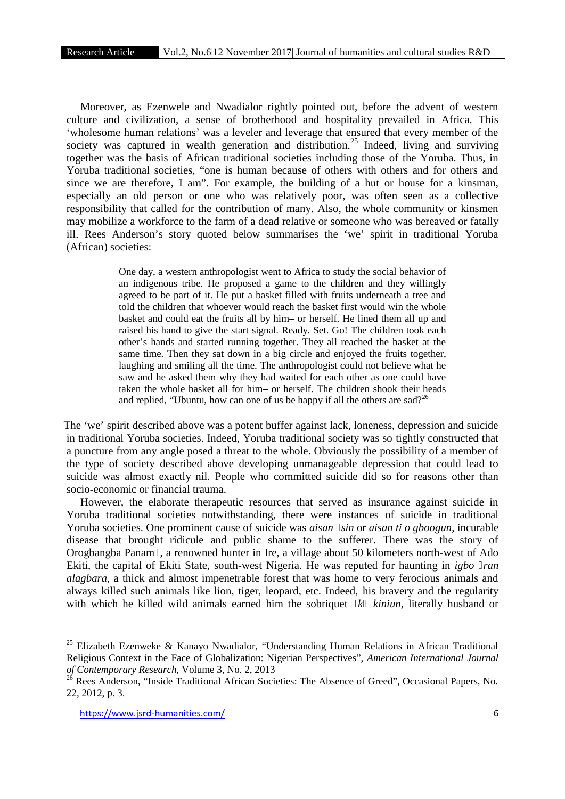Moreover, as Ezenwele and Nwadialor rightly pointed out, before the advent of western culture and civilization, a sense of brotherhood and hospitality prevailed in Africa. This 'wholesome human relations' was a leveler and leverage that ensured that every member of the society was captured in wealth generation and distribution.<sup>25</sup> Indeed, living and surviving together was the basis of African traditional societies including those of the Yoruba. Thus, in Yoruba traditional societies, "one is human because of others with others and for others and since we are therefore, I am". For example, the building of a hut or house for a kinsman, especially an old person or one who was relatively poor, was often seen as a collective responsibility that called for the contribution of many. Also, the whole community or kinsmen may mobilize a workforce to the farm of a dead relative or someone who was bereaved or fatally ill. Rees Anderson's story quoted below summarises the 'we' spirit in traditional Yoruba (African) societies:

> One day, a western anthropologist went to Africa to study the social behavior of an indigenous tribe. He proposed a game to the children and they willingly agreed to be part of it. He put a basket filled with fruits underneath a tree and told the children that whoever would reach the basket first would win the whole basket and could eat the fruits all by him– or herself. He lined them all up and raised his hand to give the start signal. Ready. Set. Go! The children took each other's hands and started running together. They all reached the basket at the same time. Then they sat down in a big circle and enjoyed the fruits together, laughing and smiling all the time. The anthropologist could not believe what he saw and he asked them why they had waited for each other as one could have taken the whole basket all for him– or herself. The children shook their heads and replied, "Ubuntu, how can one of us be happy if all the others are sad?<sup>26</sup>

The 'we' spirit described above was a potent buffer against lack, loneness, depression and suicide in traditional Yoruba societies. Indeed, Yoruba traditional society was so tightly constructed that a puncture from any angle posed a threat to the whole. Obviously the possibility of a member of the type of society described above developing unmanageable depression that could lead to suicide was almost exactly nil. People who committed suicide did so for reasons other than socio-economic or financial trauma.

However, the elaborate therapeutic resources that served as insurance against suicide in Yoruba traditional societies notwithstanding, there were instances of suicide in traditional Yoruba societies. One prominent cause of suicide was *aisan sin* or *aisan ti o gboogun*, incurable disease that brought ridicule and public shame to the sufferer. There was the story of Orogbangba Panam , a renowned hunter in Ire, a village about 50 kilometers north-west of Ado Ekiti, the capital of Ekiti State, south-west Nigeria. He was reputed for haunting in *igbo ran alagbara*, a thick and almost impenetrable forest that was home to very ferocious animals and always killed such animals like lion, tiger, leopard, etc. Indeed, his bravery and the regularity with which he killed wild animals earned him the sobriquet *k kiniun*, literally husband or

<sup>&</sup>lt;sup>25</sup> Elizabeth Ezenweke & Kanayo Nwadialor, "Understanding Human Relations in African Traditional Religious Context in the Face of Globalization: Nigerian Perspectives", *American International Journal of Contemporary Research*, Volume 3, No. 2, 2013

<sup>&</sup>lt;sup>26</sup> Rees Anderson, "Inside Traditional African Societies: The Absence of Greed", Occasional Papers, No. 22, 2012, p. 3.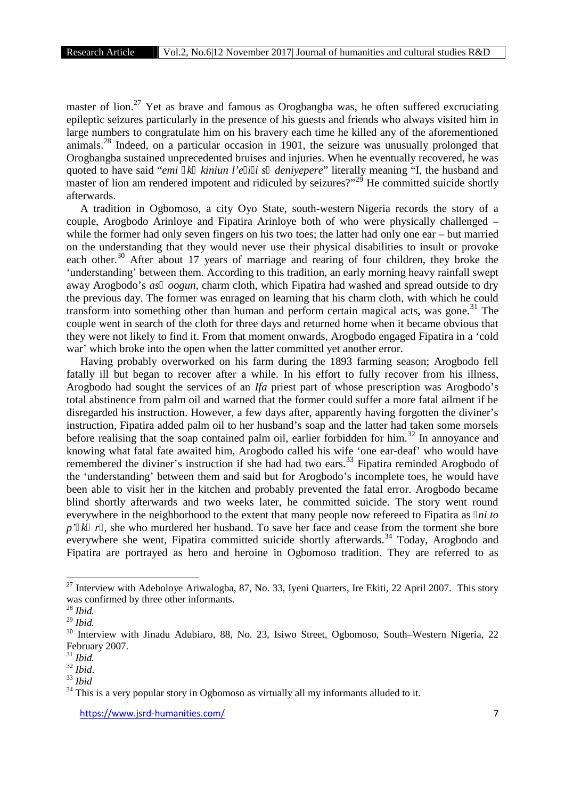master of lion.<sup>27</sup> Yet as brave and famous as Orogbangba was, he often suffered excruciating epileptic seizures particularly in the presence of his guests and friends who always visited him in large numbers to congratulate him on his bravery each time he killed any of the aforementioned animals.<sup>28</sup> Indeed, on a particular occasion in 1901, the seizure was unusually prolonged that Orogbangba sustained unprecedented bruises and injuries. When he eventually recovered, he was quoted to have said "*emi k kiniun l'e i i s deniyepere*" literally meaning "I, the husband and master of lion am rendered impotent and ridiculed by seizures?"<sup>29</sup> He committed suicide shortly afterwards.

A tradition in Ogbomoso, a city Oyo State, south-western Nigeria records the story of a couple, Arogbodo Arinloye and Fipatira Arinloye both of who were physically challenged – while the former had only seven fingers on his two toes; the latter had only one ear – but married on the understanding that they would never use their physical disabilities to insult or provoke each other.<sup>30</sup> After about 17 years of marriage and rearing of four children, they broke the 'understanding' between them. According to this tradition, an early morning heavy rainfall swept away Arogbodo's *as oogun*, charm cloth, which Fipatira had washed and spread outside to dry the previous day. The former was enraged on learning that his charm cloth, with which he could transform into something other than human and perform certain magical acts, was gone.<sup>31</sup> The couple went in search of the cloth for three days and returned home when it became obvious that they were not likely to find it. From that moment onwards, Arogbodo engaged Fipatira in a 'cold war' which broke into the open when the latter committed yet another error.

Having probably overworked on his farm during the 1893 farming season; Arogbodo fell fatally ill but began to recover after a while. In his effort to fully recover from his illness, Arogbodo had sought the services of an *Ifa* priest part of whose prescription was Arogbodo's total abstinence from palm oil and warned that the former could suffer a more fatal ailment if he disregarded his instruction. However, a few days after, apparently having forgotten the diviner's instruction, Fipatira added palm oil to her husband's soap and the latter had taken some morsels before realising that the soap contained palm oil, earlier forbidden for him.<sup>32</sup> In annoyance and knowing what fatal fate awaited him, Arogbodo called his wife 'one ear-deaf' who would have remembered the diviner's instruction if she had had two ears.<sup>33</sup> Fipatira reminded Arogbodo of the 'understanding' between them and said but for Arogbodo's incomplete toes, he would have been able to visit her in the kitchen and probably prevented the fatal error. Arogbodo became blind shortly afterwards and two weeks later, he committed suicide. The story went round everywhere in the neighborhood to the extent that many people now refereed to Fipatira as *ni to* p' *k* r, she who murdered her husband. To save her face and cease from the torment she bore everywhere she went, Fipatira committed suicide shortly afterwards.<sup>34</sup> Today, Arogbodo and Fipatira are portrayed as hero and heroine in Ogbomoso tradition. They are referred to as

<sup>&</sup>lt;sup>27</sup> Interview with Adeboloye Ariwalogba, 87, No. 33, Iyeni Quarters, Ire Ekiti, 22 April 2007. This story was confirmed by three other informants.

<sup>28</sup> *Ibid.*

<sup>29</sup> *Ibid.*

<sup>&</sup>lt;sup>30</sup> Interview with Jinadu Adubiaro, 88, No. 23, Isiwo Street, Ogbomoso, South–Western Nigeria, 22 February 2007.

<sup>31</sup> *Ibid.*

<sup>32</sup> *Ibid*. <sup>33</sup> *Ibid*

 $34$  This is a very popular story in Ogbomoso as virtually all my informants alluded to it.

https://www.jsrd-humanities.com/ 7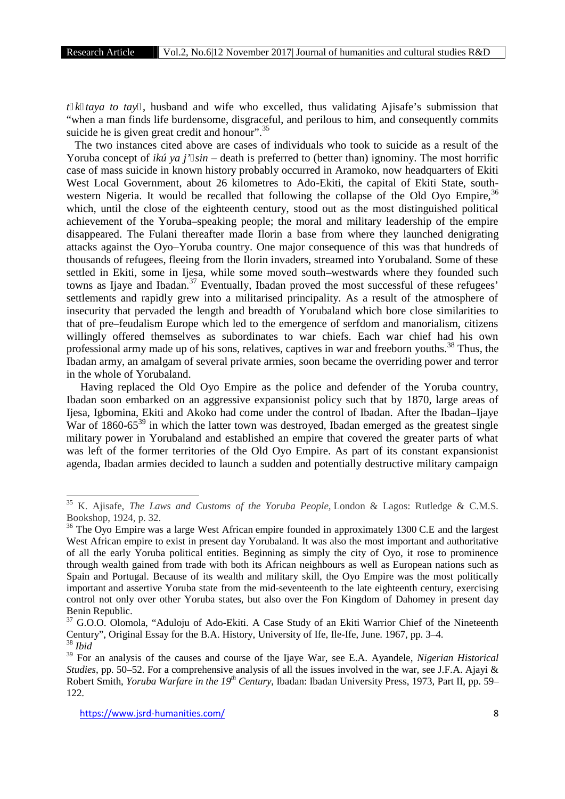*t k taya to tay* , husband and wife who excelled, thus validating Ajisafe's submission that "when a man finds life burdensome, disgraceful, and perilous to him, and consequently commits suicide he is given great credit and honour".<sup>35</sup>

The two instances cited above are cases of individuals who took to suicide as a result of the Yoruba concept of *ikú ya j' sin* – death is preferred to (better than) ignominy. The most horrific case of mass suicide in known history probably occurred in Aramoko, now headquarters of Ekiti West Local Government, about 26 kilometres to Ado-Ekiti, the capital of Ekiti State, south western Nigeria. It would be recalled that following the collapse of the Old Oyo Empire,<sup>36</sup> which, until the close of the eighteenth century, stood out as the most distinguished political achievement of the Yoruba–speaking people; the moral and military leadership of the empire disappeared. The Fulani thereafter made Ilorin a base from where they launched denigrating attacks against the Oyo–Yoruba country. One major consequence of this was that hundreds of thousands of refugees, fleeing from the Ilorin invaders, streamed into Yorubaland. Some of these settled in Ekiti, some in Ijesa, while some moved south–westwards where they founded such towns as Ijaye and Ibadan.<sup>37</sup> Eventually, Ibadan proved the most successful of these refugees' settlements and rapidly grew into a militarised principality. As a result of the atmosphere of insecurity that pervaded the length and breadth of Yorubaland which bore close similarities to that of pre–feudalism Europe which led to the emergence of serfdom and manorialism, citizens willingly offered themselves as subordinates to war chiefs. Each war chief had his own professional army made up of his sons, relatives, captives in war and freeborn youths.<sup>38</sup> Thus, the Ibadan army, an amalgam of several private armies, soon became the overriding power and terror in the whole of Yorubaland.

Having replaced the Old Oyo Empire as the police and defender of the Yoruba country, Ibadan soon embarked on an aggressive expansionist policy such that by 1870, large areas of Ijesa, Igbomina, Ekiti and Akoko had come under the control of Ibadan. After the Ibadan–Ijaye War of  $1860-65^{39}$  in which the latter town was destroyed, Ibadan emerged as the greatest single military power in Yorubaland and established an empire that covered the greater parts of what was left of the former territories of the Old Oyo Empire. As part of its constant expansionist agenda, Ibadan armies decided to launch a sudden and potentially destructive military campaign

<sup>35</sup> K. Ajisafe, *The Laws and Customs of the Yoruba People,* London & Lagos: Rutledge & C.M.S. Bookshop, 1924, p. 32.

<sup>&</sup>lt;sup>36</sup> The Oyo Empire was a large West African empire founded in approximately 1300 C.E and the largest West African empire to exist in present day Yorubaland. It was also the most important and authoritative of all the early Yoruba political entities. Beginning as simply the city of Oyo, it rose to prominence through wealth gained from trade with both its African neighbours as well as European nations such as Spain and Portugal. Because of its wealth and military skill, the Oyo Empire was the most politically important and assertive Yoruba state from the mid-seventeenth to the late eighteenth century, exercising control not only over other Yoruba states, but also over the Fon Kingdom of Dahomey in present day Benin Republic.

<sup>&</sup>lt;sup>37</sup> G.O.O. Olomola, "Aduloju of Ado-Ekiti. A Case Study of an Ekiti Warrior Chief of the Nineteenth Century", Original Essay for the B.A. History, University of Ife, Ile-Ife, June. 1967, pp. 3–4. <sup>38</sup> *Ibid*

<sup>39</sup> For an analysis of the causes and course of the Ijaye War, see E.A. Ayandele, *Nigerian Historical Studies*, pp. 50–52. For a comprehensive analysis of all the issues involved in the war, see J.F.A. Ajayi & Robert Smith, *Yoruba Warfare in the 19th Century*, Ibadan: Ibadan University Press, 1973*,* Part II, pp. 59– 122.

https://www.jsrd-humanities.com/ 8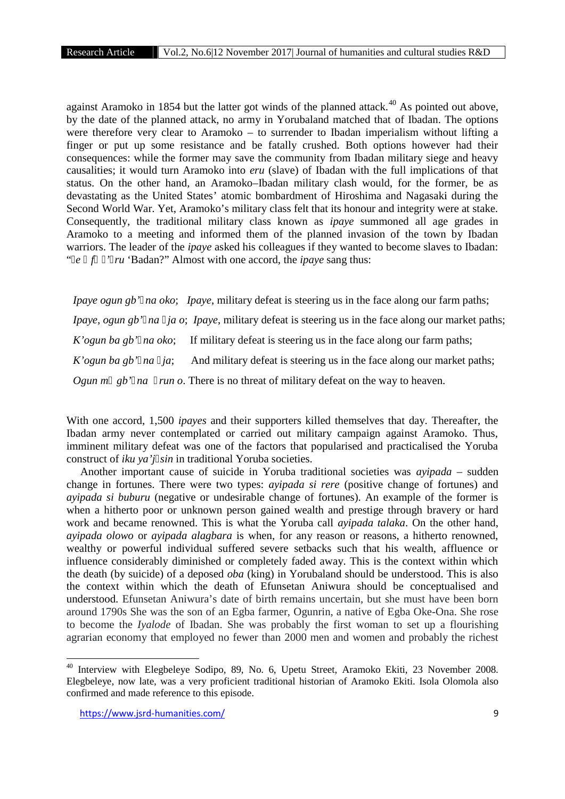against Aramoko in 1854 but the latter got winds of the planned attack.<sup>40</sup> As pointed out above, by the date of the planned attack, no army in Yorubaland matched that of Ibadan. The options were therefore very clear to Aramoko – to surrender to Ibadan imperialism without lifting a finger or put up some resistance and be fatally crushed. Both options however had their consequences: while the former may save the community from Ibadan military siege and heavy causalities; it would turn Aramoko into *eru* (slave) of Ibadan with the full implications of that status. On the other hand, an Aramoko–Ibadan military clash would, for the former, be as devastating as the United States' atomic bombardment of Hiroshima and Nagasaki during the Second World War. Yet, Aramoko's military class felt that its honour and integrity were at stake. Consequently, the traditional military class known as *ipaye* summoned all age grades in Aramoko to a meeting and informed them of the planned invasion of the town by Ibadan warriors. The leader of the *ipaye* asked his colleagues if they wanted to become slaves to Ibadan: " *e f' ru* 'Badan?" Almost with one accord, the *ipaye* sang thus:

*Ipaye ogun gb' na oko*; *Ipaye*, military defeat is steering us in the face along our farm paths; *Ipaye, ogun gb' na ja o*; *Ipaye*, military defeat is steering us in the face along our market paths; *K'ogun ba gb' na oko*; If military defeat is steering us in the face along our farm paths; *K'ogun ba gb' na ja*; And military defeat is steering us in the face along our market paths; *Ogun m gb' na run o*. There is no threat of military defeat on the way to heaven.

With one accord, 1,500 *ipayes* and their supporters killed themselves that day. Thereafter, the Ibadan army never contemplated or carried out military campaign against Aramoko. Thus, imminent military defeat was one of the factors that popularised and practicalised the Yoruba construct of *iku ya'j sin* in traditional Yoruba societies.

Another important cause of suicide in Yoruba traditional societies was *ayipada* – sudden change in fortunes. There were two types: *ayipada si rere* (positive change of fortunes) and *ayipada si buburu* (negative or undesirable change of fortunes). An example of the former is when a hitherto poor or unknown person gained wealth and prestige through bravery or hard work and became renowned. This is what the Yoruba call *ayipada talaka*. On the other hand, *ayipada olowo* or*ayipada alagbara* is when, for any reason or reasons, a hitherto renowned, wealthy or powerful individual suffered severe setbacks such that his wealth, affluence or influence considerably diminished or completely faded away. This is the context within which the death (by suicide) of a deposed *oba* (king) in Yorubaland should be understood. This is also the context within which the death of Efunsetan Aniwura should be conceptualised and understood. Efunsetan Aniwura's date of birth remains uncertain, but she must have been born around 1790s She was the son of an Egba farmer, Ogunrin, a native of Egba Oke-Ona. She rose to become the *Iyalode* of Ibadan. She was probably the first woman to set up a flourishing agrarian economy that employed no fewer than 2000 men and women and probably the richest

<sup>40</sup> Interview with Elegbeleye Sodipo, 89, No. 6, Upetu Street, Aramoko Ekiti, 23 November 2008. Elegbeleye, now late, was a very proficient traditional historian of Aramoko Ekiti. Isola Olomola also confirmed and made reference to this episode.

https://www.jsrd-humanities.com/ 9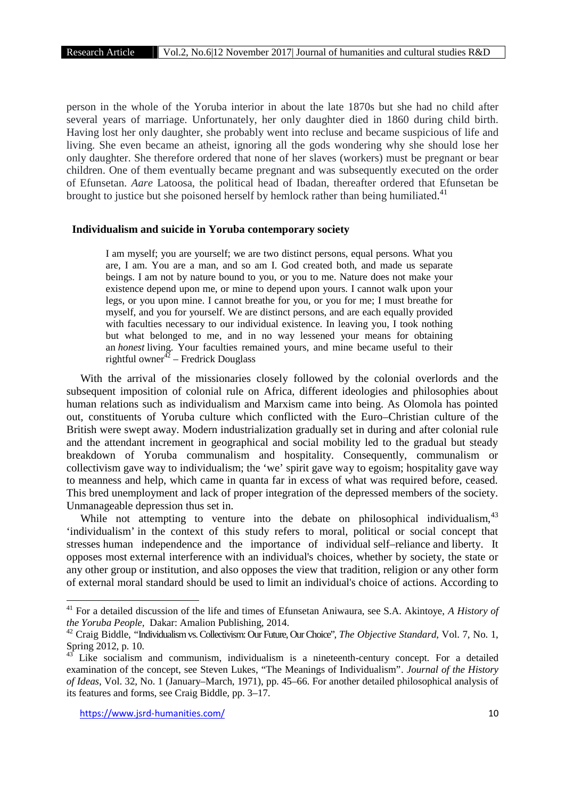person in the whole of the Yoruba interior in about the late 1870s but she had no child after several years of marriage. Unfortunately, her only daughter died in 1860 during child birth. Having lost her only daughter, she probably went into recluse and became suspicious of life and living. She even became an atheist, ignoring all the gods wondering why she should lose her only daughter. She therefore ordered that none of her slaves (workers) must be pregnant or bear children. One of them eventually became pregnant and was subsequently executed on the order of Efunsetan. *Aare* Latoosa, the political head of Ibadan, thereafter ordered that Efunsetan be brought to justice but she poisoned herself by hemlock rather than being humiliated.<sup>41</sup>

### **Individualism and suicide in Yoruba contemporary society**

I am myself; you are yourself; we are two distinct persons, equal persons. What you are, I am. You are a man, and so am I. God created both, and made us separate beings. I am not by nature bound to you, or you to me. Nature does not make your existence depend upon me, or mine to depend upon yours. I cannot walk upon your legs, or you upon mine. I cannot breathe for you, or you for me; I must breathe for myself, and you for yourself. We are distinct persons, and are each equally provided with faculties necessary to our individual existence. In leaving you, I took nothing but what belonged to me, and in no way lessened your means for obtaining an *honest* living. Your faculties remained yours, and mine became useful to their rightful owner<sup>42</sup> – Fredrick Douglass

With the arrival of the missionaries closely followed by the colonial overlords and the subsequent imposition of colonial rule on Africa, different ideologies and philosophies about human relations such as individualism and Marxism came into being. As Olomola has pointed out, constituents of Yoruba culture which conflicted with the Euro–Christian culture of the British were swept away. Modern industrialization gradually set in during and after colonial rule and the attendant increment in geographical and social mobility led to the gradual but steady breakdown of Yoruba communalism and hospitality. Consequently, communalism or collectivism gave way to individualism; the 'we' spirit gave way to egoism; hospitality gave way to meanness and help, which came in quanta far in excess of what was required before, ceased. This bred unemployment and lack of proper integration of the depressed members of the society. Unmanageable depression thus set in.

While not attempting to venture into the debate on philosophical individualism, <sup>43</sup> 'individualism' in the context of this study refers to moral, political or social concept that stresses human independence and the importance of individual self–reliance and liberty. It opposes most external interference with an individual's choices, whether by society, the state or any other group or institution, and also opposes the view that tradition, religion or any other form of external moral standard should be used to limit an individual's choice of actions. According to

<sup>41</sup> For a detailed discussion of the life and times of Efunsetan Aniwaura, see S.A. Akintoye, *A History of the Yoruba People*, Dakar: Amalion Publishing, 2014.

<sup>42</sup> Craig Biddle, "Individualism vs. Collectivism: Our Future, Our Choice", *The Objective Standard*, Vol. 7, No. 1, Spring 2012, p. 10.

Like socialism and communism, individualism is a nineteenth-century concept. For a detailed examination of the concept, see Steven Lukes, "The Meanings of Individualism". *Journal of the History of Ideas*, Vol. 32, No. 1 (January–March, 1971), pp. 45–66. For another detailed philosophical analysis of its features and forms, see Craig Biddle, pp. 3–17.

https://www.jsrd-humanities.com/ 10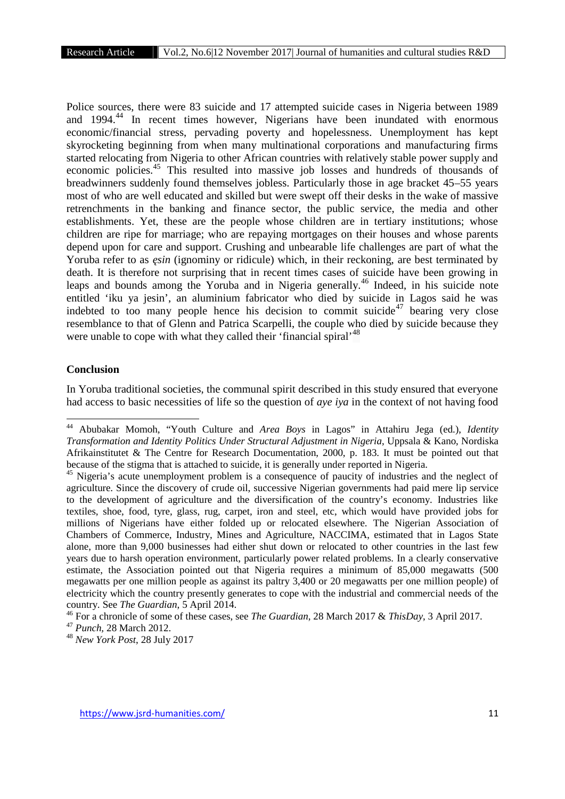Police sources, there were 83 suicide and 17 attempted suicide cases in Nigeria between 1989 and 1994.<sup>44</sup> In recent times however, Nigerians have been inundated with enormous economic/financial stress, pervading poverty and hopelessness. Unemployment has kept skyrocketing beginning from when many multinational corporations and manufacturing firms started relocating from Nigeria to other African countries with relatively stable power supply and economic policies.<sup>45</sup> This resulted into massive job losses and hundreds of thousands of breadwinners suddenly found themselves jobless. Particularly those in age bracket 45–55 years most of who are well educated and skilled but were swept off their desks in the wake of massive retrenchments in the banking and finance sector, the public service, the media and other establishments. Yet, these are the people whose children are in tertiary institutions; whose children are ripe for marriage; who are repaying mortgages on their houses and whose parents depend upon for care and support. Crushing and unbearable life challenges are part of what the Yoruba refer to as *sin* (ignominy or ridicule) which, in their reckoning, are best terminated by death. It is therefore not surprising that in recent times cases of suicide have been growing in leaps and bounds among the Yoruba and in Nigeria generally.<sup>46</sup> Indeed, in his suicide note entitled 'iku ya jesin', an aluminium fabricator who died by suicide in Lagos said he was indebted to too many people hence his decision to commit suicide<sup>47</sup> bearing very close resemblance to that of Glenn and Patrica Scarpelli, the couple who died by suicide because they were unable to cope with what they called their 'financial spiral'<sup>48</sup>

## **Conclusion**

In Yoruba traditional societies, the communal spirit described in this study ensured that everyone had access to basic necessities of life so the question of *aye iya* in the context of not having food

<sup>44</sup> Abubakar Momoh, "Youth Culture and *Area Boys* in Lagos" in Attahiru Jega (ed.), *Identity Transformation and Identity Politics Under Structural Adjustment in Nigeria*, Uppsala & Kano, Nordiska Afrikainstitutet & The Centre for Research Documentation, 2000, p. 183. It must be pointed out that because of the stigma that is attached to suicide, it is generally under reported in Nigeria.

<sup>&</sup>lt;sup>45</sup> Nigeria's acute unemployment problem is a consequence of paucity of industries and the neglect of agriculture. Since the discovery of crude oil, successive Nigerian governments had paid mere lip service to the development of agriculture and the diversification of the country's economy. Industries like textiles, shoe, food, tyre, glass, rug, carpet, iron and steel, etc, which would have provided jobs for millions of Nigerians have either folded up or relocated elsewhere. The Nigerian Association of Chambers of Commerce, Industry, Mines and Agriculture, NACCIMA, estimated that in Lagos State alone, more than 9,000 businesses had either shut down or relocated to other countries in the last few years due to harsh operation environment, particularly power related problems. In a clearly conservative estimate, the Association pointed out that Nigeria requires a minimum of 85,000 megawatts (500 megawatts per one million people as against its paltry 3,400 or 20 megawatts per one million people) of electricity which the country presently generates to cope with the industrial and commercial needs of the country. See *The Guardian*, 5 April 2014.

<sup>46</sup> For a chronicle of some of these cases, see *The Guardian*, 28 March 2017 & *ThisDay*, 3 April 2017.

<sup>47</sup> *Punch,* 28 March 2012.

<sup>48</sup> *New York Post*, 28 July 2017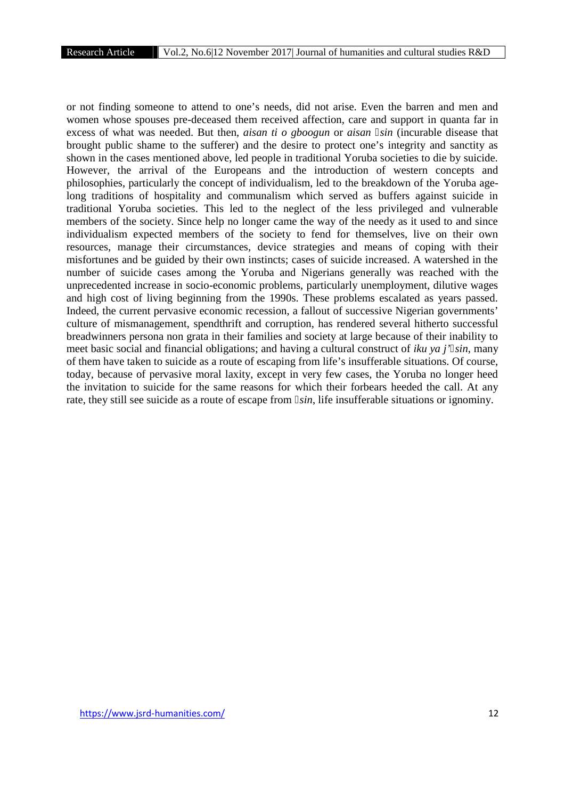or not finding someone to attend to one's needs, did not arise. Even the barren and men and women whose spouses pre-deceased them received affection, care and support in quanta far in excess of what was needed. But then, *aisan ti o gboogun* or *aisan sin* (incurable disease that brought public shame to the sufferer) and the desire to protect one's integrity and sanctity as shown in the cases mentioned above, led people in traditional Yoruba societies to die by suicide. However, the arrival of the Europeans and the introduction of western concepts and philosophies, particularly the concept of individualism, led to the breakdown of the Yoruba agelong traditions of hospitality and communalism which served as buffers against suicide in traditional Yoruba societies. This led to the neglect of the less privileged and vulnerable members of the society. Since help no longer came the way of the needy as it used to and since individualism expected members of the society to fend for themselves, live on their own resources, manage their circumstances, device strategies and means of coping with their misfortunes and be guided by their own instincts; cases of suicide increased. A watershed in the number of suicide cases among the Yoruba and Nigerians generally was reached with the unprecedented increase in socio-economic problems, particularly unemployment, dilutive wages and high cost of living beginning from the 1990s. These problems escalated as years passed. Indeed, the current pervasive economic recession, a fallout of successive Nigerian governments' culture of mismanagement, spendthrift and corruption, has rendered several hitherto successful breadwinners persona non grata in their families and society at large because of their inability to meet basic social and financial obligations; and having a cultural construct of *iku ya j' sin*, many of them have taken to suicide as a route of escaping from life's insufferable situations. Of course, today, because of pervasive moral laxity, except in very few cases, the Yoruba no longer heed the invitation to suicide for the same reasons for which their forbears heeded the call. At any rate, they still see suicide as a route of escape from *sin*, life insufferable situations or ignominy.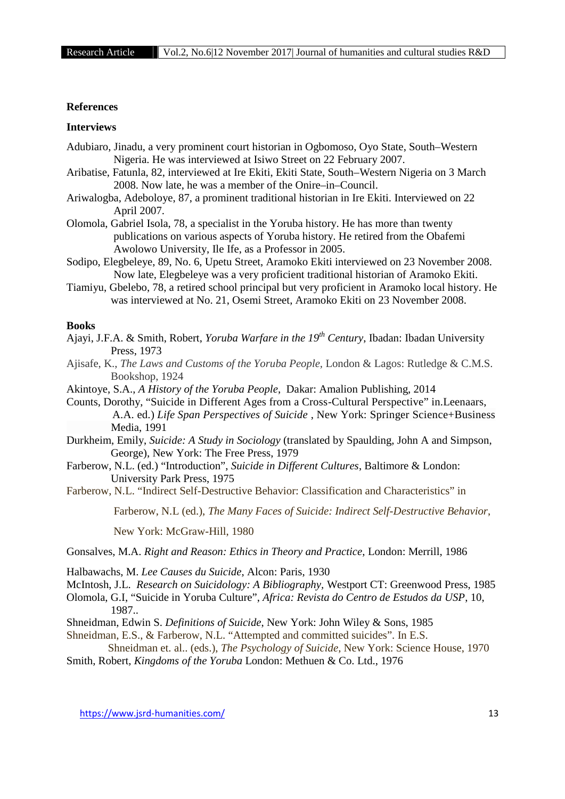#### **References**

## **Interviews**

- Adubiaro, Jinadu, a very prominent court historian in Ogbomoso, Oyo State, South–Western Nigeria. He was interviewed at Isiwo Street on 22 February 2007.
- Aribatise, Fatunla, 82, interviewed at Ire Ekiti, Ekiti State, South–Western Nigeria on 3 March 2008. Now late, he was a member of the Onire–in–Council.
- Ariwalogba, Adeboloye, 87, a prominent traditional historian in Ire Ekiti. Interviewed on 22 April 2007.
- Olomola, Gabriel Isola, 78, a specialist in the Yoruba history. He has more than twenty publications on various aspects of Yoruba history. He retired from the Obafemi Awolowo University, Ile Ife, as a Professor in 2005.
- Sodipo, Elegbeleye, 89, No. 6, Upetu Street, Aramoko Ekiti interviewed on 23 November 2008. Now late, Elegbeleye was a very proficient traditional historian of Aramoko Ekiti.
- Tiamiyu, Gbelebo, 78, a retired school principal but very proficient in Aramoko local history. He was interviewed at No. 21, Osemi Street, Aramoko Ekiti on 23 November 2008.

#### **Books**

- Ajayi, J.F.A. & Smith, Robert, *Yoruba Warfare in the 19th Century*, Ibadan: Ibadan University Press, 1973
- Ajisafe, K., *The Laws and Customs of the Yoruba People,* London & Lagos: Rutledge & C.M.S. Bookshop, 1924
- Akintoye, S.A., *A History of the Yoruba People*, Dakar: Amalion Publishing, 2014

Counts, Dorothy, "Suicide in Different Ages from a Cross-Cultural Perspective" in.Leenaars, A.A. ed.) *Life Span Perspectives of Suicide* , New York: Springer Science+Business Media, 1991

- Durkheim, Emily, *Suicide: A Study in Sociology* (translated by Spaulding, John A and Simpson, George), New York: The Free Press, 1979
- Farberow, N.L. (ed.) "Introduction", *Suicide in Different Cultures*, Baltimore & London: University Park Press, 1975
- Farberow, N.L. "Indirect Self-Destructive Behavior: Classification and Characteristics" in

Farberow, N.L (ed.), *The Many Faces of Suicide: Indirect Self-Destructive Behavior*,

New York: McGraw-Hill, 1980

Gonsalves, M.A. *Right and Reason: Ethics in Theory and Practice*, London: Merrill, 1986

Halbawachs, M. *Lee Causes du Suicide*, Alcon: Paris, 1930

McIntosh, J.L. *Research on Suicidology: A Bibliography,* Westport CT: Greenwood Press, 1985

Olomola, G.I, "Suicide in Yoruba Culture", *Africa: Revista do Centro de Estudos da USP*, 10, 1987..

- Shneidman, Edwin S. *Definitions of Suicide*, New York: John Wiley & Sons, 1985
- Shneidman, E.S., & Farberow, N.L. "Attempted and committed suicides". In E.S.

Shneidman et. al.. (eds.), *The Psychology of Suicide*, New York: Science House, 1970 Smith, Robert*, Kingdoms of the Yoruba* London: Methuen & Co. Ltd., 1976